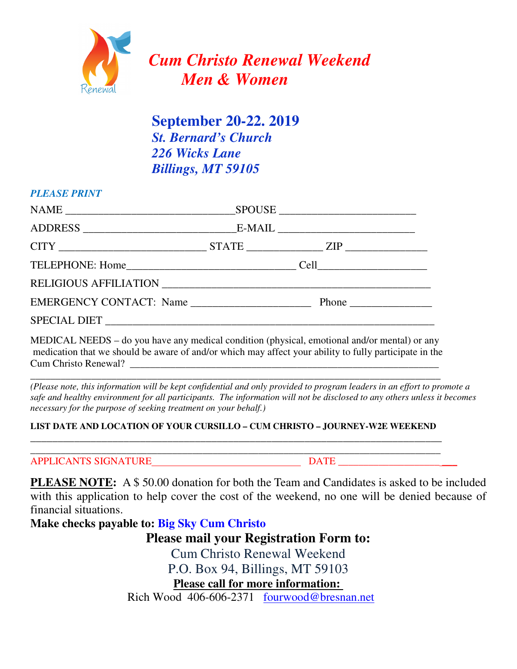

 **September 20-22. 2019**  *St. Bernard's Church 226 Wicks Lane Billings, MT 59105*

## *PLEASE PRINT*

MEDICAL NEEDS – do you have any medical condition (physical, emotional and/or mental) or any medication that we should be aware of and/or which may affect your ability to fully participate in the Cum Christo Renewal?

\_\_\_\_\_\_\_\_\_\_\_\_\_\_\_\_\_\_\_\_\_\_\_\_\_\_\_\_\_\_\_\_\_\_\_\_\_\_\_\_\_\_\_\_\_\_\_\_\_\_\_\_\_\_\_\_\_\_\_\_\_\_\_\_\_\_\_\_\_\_\_\_\_\_\_\_\_\_\_\_\_

*(Please note, this information will be kept confidential and only provided to program leaders in an effort to promote a safe and healthy environment for all participants. The information will not be disclosed to any others unless it becomes necessary for the purpose of seeking treatment on your behalf.)* 

# **LIST DATE AND LOCATION OF YOUR CURSILLO – CUM CHRISTO – JOURNEY-W2E WEEKEND**  \_\_\_\_\_\_\_\_\_\_\_\_\_\_\_\_\_\_\_\_\_\_\_\_\_\_\_\_\_\_\_\_\_\_\_\_\_\_\_\_\_\_\_\_\_\_\_\_\_\_\_\_\_\_\_\_\_\_\_\_\_\_\_\_\_\_\_\_\_\_\_\_\_\_\_

**\_\_\_\_\_\_\_\_\_\_\_\_\_\_\_\_\_\_\_\_\_\_\_\_\_\_\_\_\_\_\_\_\_\_\_\_\_\_\_\_\_\_\_\_\_\_\_\_\_\_\_\_\_\_\_\_\_\_\_\_\_\_\_\_\_\_\_\_\_\_\_\_\_\_\_\_\_\_\_\_\_** 

APPLICANTS SIGNATURE DATE DATE

**PLEASE NOTE:** A \$ 50.00 donation for both the Team and Candidates is asked to be included with this application to help cover the cost of the weekend, no one will be denied because of financial situations.

**Make checks payable to: Big Sky Cum Christo** 

**Please mail your Registration Form to:**

Cum Christo Renewal Weekend

P.O. Box 94, Billings, MT 59103

**Please call for more information:** 

Rich Wood 406-606-2371 fourwood@bresnan.net